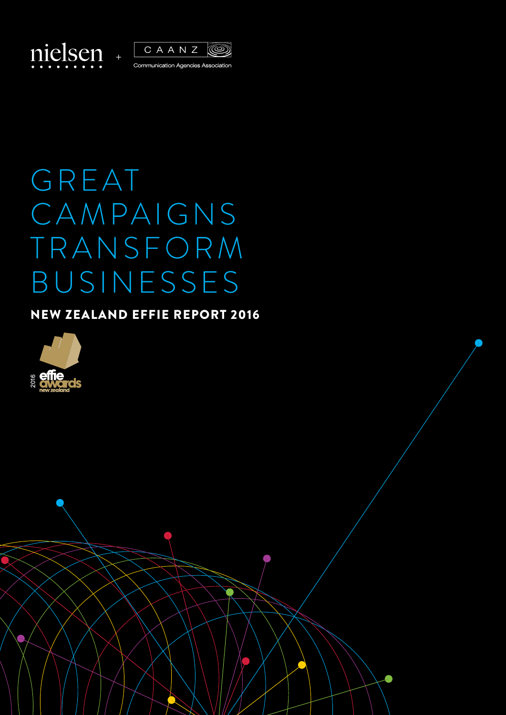



## GREAT CAMPAIGNS TRANSFORM BUSINESSES

## NEW ZEALAND EFFIE REPORT 2016

NEW ZEALAND EFFIE REPORT 2015 Copyright © 2016 The Nielsen Company **1**

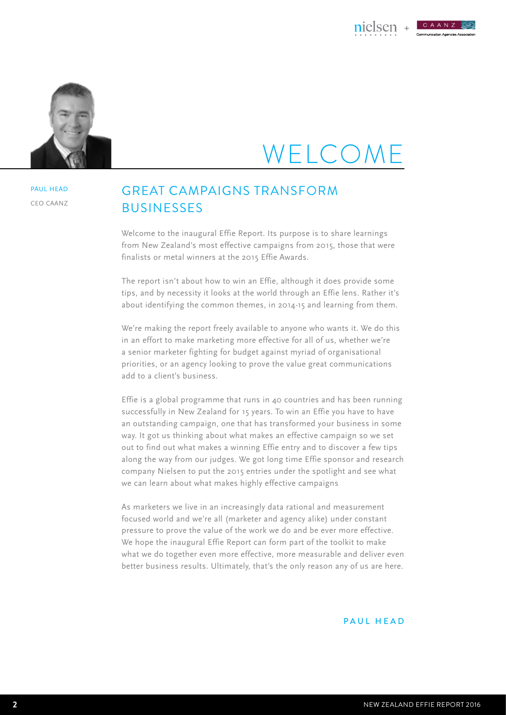



PAUL HEAD CEO CAANZ

## WELCO

## GREAT CAMPAIGNS TRANSFORM **BUSINESSES**

Welcome to the inaugural Effie Report. Its purpose is to share learnings from New Zealand's most effective campaigns from 2015, those that were finalists or metal winners at the 2015 Effie Awards.

The report isn't about how to win an Effie, although it does provide some tips, and by necessity it looks at the world through an Effie lens. Rather it's about identifying the common themes, in 2014-15 and learning from them.

We're making the report freely available to anyone who wants it. We do this in an effort to make marketing more effective for all of us, whether we're a senior marketer fighting for budget against myriad of organisational priorities, or an agency looking to prove the value great communications add to a client's business.

Effie is a global programme that runs in 40 countries and has been running successfully in New Zealand for 15 years. To win an Effie you have to have an outstanding campaign, one that has transformed your business in some way. It got us thinking about what makes an effective campaign so we set out to find out what makes a winning Effie entry and to discover a few tips along the way from our judges. We got long time Effie sponsor and research company Nielsen to put the 2015 entries under the spotlight and see what we can learn about what makes highly effective campaigns

As marketers we live in an increasingly data rational and measurement focused world and we're all (marketer and agency alike) under constant pressure to prove the value of the work we do and be ever more effective. We hope the inaugural Effie Report can form part of the toolkit to make what we do together even more effective, more measurable and deliver even better business results. Ultimately, that's the only reason any of us are here.

#### PAUL HEAD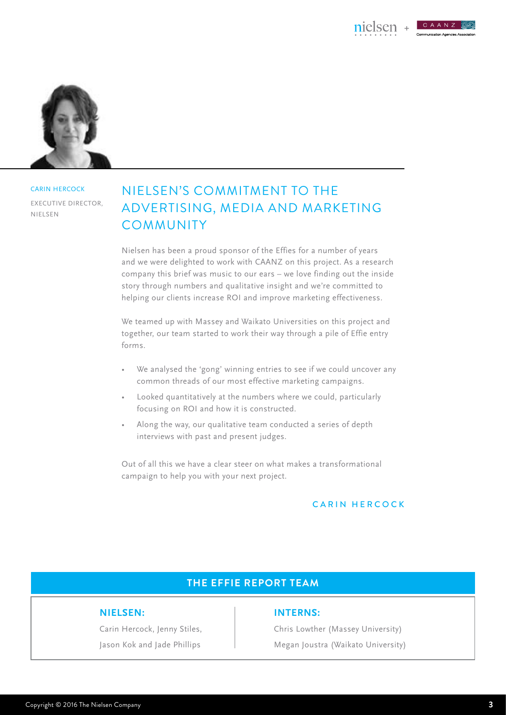CAANZ



**CARIN HERCOCK** EXECUTIVE DIRECTOR Nielsen

## NIELSEN'S COMMITMENT TO THE ADVERTISING, MEDIA AND MARKETING COMMUNITY

Nielsen has been a proud sponsor of the Effies for a number of years and we were delighted to work with CAANZ on this project. As a research company this brief was music to our ears – we love finding out the inside story through numbers and qualitative insight and we're committed to helping our clients increase ROI and improve marketing effectiveness.

We teamed up with Massey and Waikato Universities on this project and together, our team started to work their way through a pile of Effie entry forms.

- We analysed the 'gong' winning entries to see if we could uncover any common threads of our most effective marketing campaigns.
- Looked quantitatively at the numbers where we could, particularly focusing on ROI and how it is constructed.
- Along the way, our qualitative team conducted a series of depth interviews with past and present judges.

Out of all this we have a clear steer on what makes a transformational campaign to help you with your next project.

#### CARIN HERCOCK

### **THE EFFIE REPORT TEAM**

#### **Nielsen:**

Carin Hercock, Jenny Stiles, Jason Kok and Jade Phillips

#### **INTERNS:**

Chris Lowther (Massey University) Megan Joustra (Waikato University)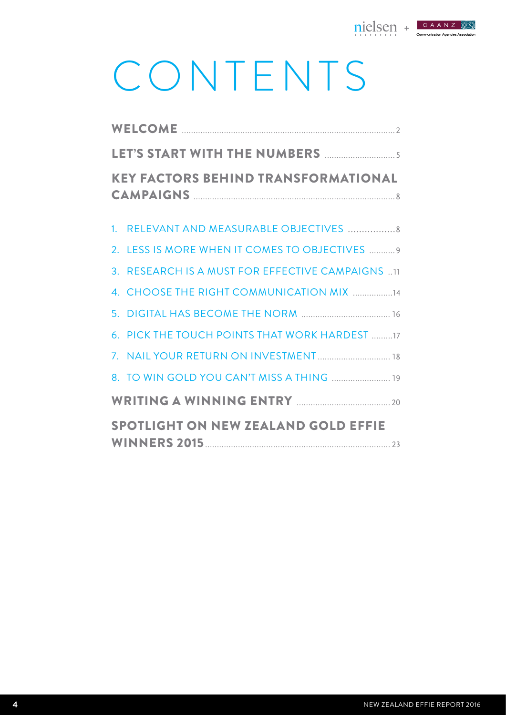

# CONTENTS

| <b>KEY FACTORS BEHIND TRANSFORMATIONAL</b>       |  |
|--------------------------------------------------|--|
| 1. RELEVANT AND MEASURABLE OBJECTIVES  8         |  |
| 2. LESS IS MORE WHEN IT COMES TO OBJECTIVES  9   |  |
| 3. RESEARCH IS A MUST FOR EFFECTIVE CAMPAIGNS 11 |  |
| 4. CHOOSE THE RIGHT COMMUNICATION MIX 14         |  |
|                                                  |  |
| 6. PICK THE TOUCH POINTS THAT WORK HARDEST 17    |  |
|                                                  |  |
| 8. TO WIN GOLD YOU CAN'T MISS A THING  19        |  |
|                                                  |  |
| <b>SPOTLIGHT ON NEW ZEALAND GOLD EFFIE</b>       |  |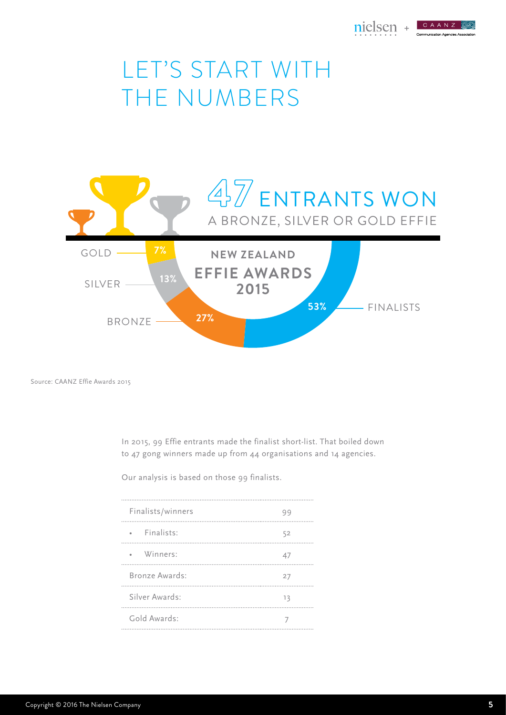

## LET'S START WITH THE NUMBERS



Source: CAANZ Effie Awards 2015

In 2015, 99 Effie entrants made the finalist short-list. That boiled down to 47 gong winners made up from 44 organisations and 14 agencies.

Our analysis is based on those 99 finalists.

| Finalists/winners       | 99 |
|-------------------------|----|
| · Finalists:            | 52 |
| Winners:<br>$\bullet$ . | 47 |
| Bronze Awards:          | 27 |
| Silver Awards:          | 13 |
| Gold Awards:            |    |
|                         |    |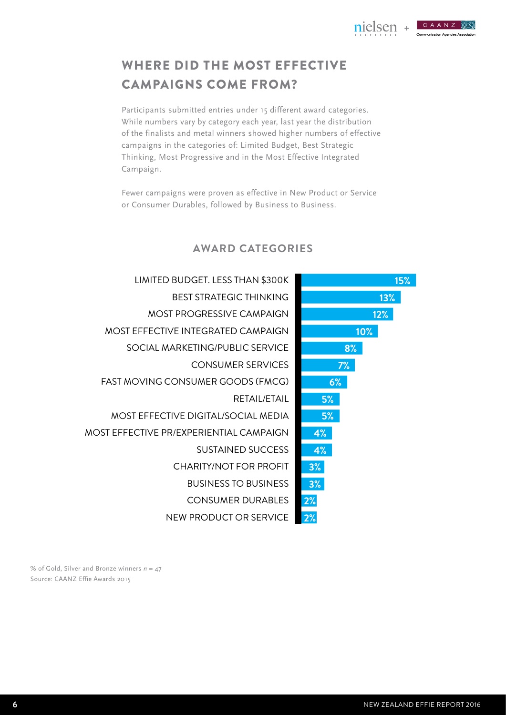**15%** 

**12%** 

**10%** 

**8%** 

**13%** 

nielsen + CAANZ

-<br>Communication Agencies Association

## WHERE DID THE MOST EFFECTIVE CAMPAIGNS COME FROM?

Participants submitted entries under 15 different award categories. While numbers vary by category each year, last year the distribution of the finalists and metal winners showed higher numbers of effective campaigns in the categories of: Limited Budget, Best Strategic Thinking, Most Progressive and in the Most Effective Integrated Campaign.

Fewer campaigns were proven as effective in New Product or Service or Consumer Durables, followed by Business to Business.

|          |    | LIMITED BUDGET. LESS THAN \$300K          |
|----------|----|-------------------------------------------|
|          |    | <b>BEST STRATEGIC THINKING</b>            |
|          |    | <b>MOST PROGRESSIVE CAMPAIGN</b>          |
|          |    | <b>MOST EFFECTIVE INTEGRATED CAMPAIGN</b> |
| $\bf 8'$ |    | SOCIAL MARKETING/PUBLIC SERVICE           |
| 7%       |    | <b>CONSUMER SERVICES</b>                  |
|          | 6% | <b>FAST MOVING CONSUMER GOODS (FMCG)</b>  |
|          | 5% | RFTAII /FTAII                             |
|          | 5% | MOST EFFECTIVE DIGITAL/SOCIAL MEDIA       |
|          | 4% | MOST EFFECTIVE PR/EXPERIENTIAL CAMPAIGN   |
|          | 4% | <b>SUSTAINED SUCCESS</b>                  |
|          | 3% | <b>CHARITY/NOT FOR PROFIT</b>             |
|          | 3% | <b>BUSINESS TO BUSINESS</b>               |
|          | 2% | <b>CONSUMER DURABLES</b>                  |
|          | 2% | NEW PRODUCT OR SERVICE                    |
|          |    |                                           |

## **AWARD CATEGORIES**

% of Gold, Silver and Bronze winners *n* = 47 Source: CAANZ Effie Awards 2015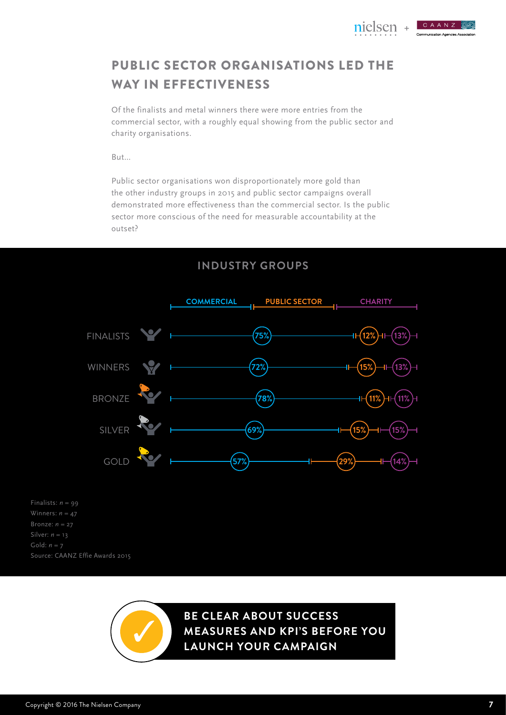

CAANZ ommunication Agencies Association



Of the finalists and metal winners there were more entries from the commercial sector, with a roughly equal showing from the public sector and charity organisations.

But…

Public sector organisations won disproportionately more gold than the other industry groups in 2015 and public sector campaigns overall demonstrated more effectiveness than the commercial sector. Is the public sector more conscious of the need for measurable accountability at the outset?





Finalists:  $n = 99$ Winners: *n* = 47 Bronze: *n* = 27 Gold: *n* = 7 Source: CAANZ Effie Awards 2015

> **Be Clear about success measures and KPI's before you launch your campaign**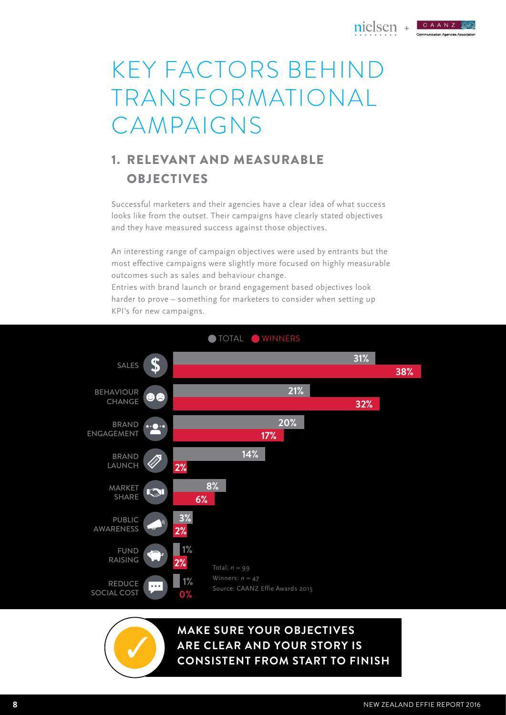

#### CAANZ **Communication Agencies Associa**

## KEY FACTORS BEHIND TRANSFORMATIONAL CAMPAIGNS

## 1. RELEVANT AND MEASURABLE OBJECTIVES

Successful marketers and their agencies have a clear idea of what success looks like from the outset. Their campaigns have clearly stated objectives and they have measured success against those objectives.

An interesting range of campaign objectives were used by entrants but the most effective campaigns were slightly more focused on highly measurable outcomes such as sales and behaviour change.

Entries with brand launch or brand engagement based objectives look harder to prove – something for marketers to consider when setting up KPI's for new campaigns.



**MAKE SURE YOUR OBJECTIVES ARE CLEAR AND YOUR STORY IS**

**CONSISTENT FROM START TO FINISH**

**8** NEW ZEALAND EFFIE REPORT 2016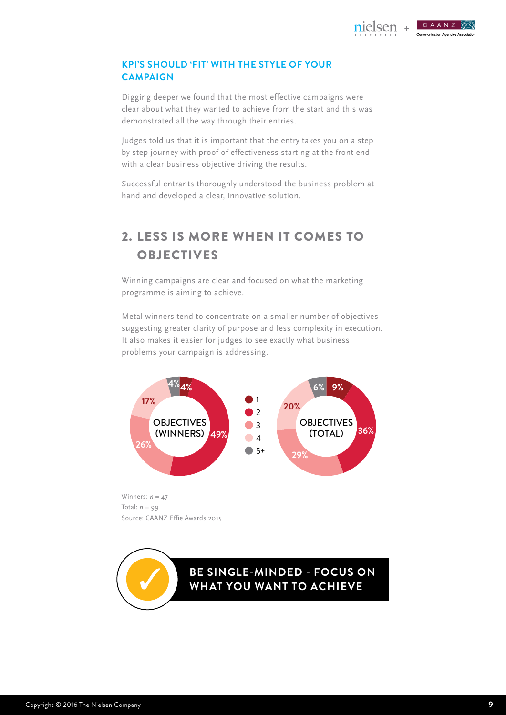**+**

CAANZ

**Communication Agencies Associa** 

#### **KPI's should 'fit' with the style of your CAMPAIGN campaign**

Digging deeper we found that the most effective campaigns were clear about what they wanted to achieve from the start and this was demonstrated all the way through their entries.

Judges told us that it is important that the entry takes you on a step by step journey with proof of effectiveness starting at the front end with a clear business objective driving the results.

Successful entrants thoroughly understood the business problem at hand and developed a clear, innovative solution.

## 2. LESS IS MORE WHEN IT COMES TO **OBJECTIVES**

Winning campaigns are clear and focused on what the marketing programme is aiming to achieve.

Metal winners tend to concentrate on a smaller number of objectives suggesting greater clarity of purpose and less complexity in execution. It also makes it easier for judges to see exactly what business problems your campaign is addressing.



Winners:  $n = 47$ Total:  $n = 99$ Source: CAANZ Effie Awards 2015

**BE SINGLE-MINDED - FOCUS ON WHAT YOU WANT TO ACHIEVE**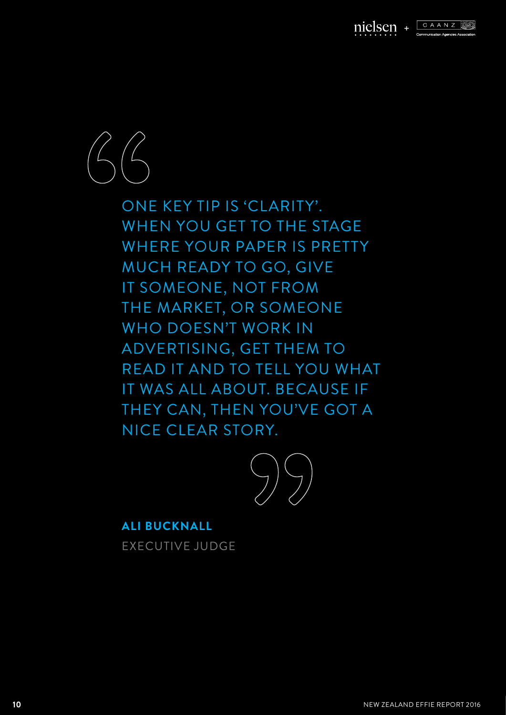



ONE KEY TIP IS 'CLARITY'. when you get to the stage where your paper is pretty much ready to go, give it someone, not from the market, or someone who doesn't work in ADVERTISING, GET THEM TO read it and to tell you what it was all about. Because if they can, then you've got a nice clear story.



**Ali Bucknall** Executive Judge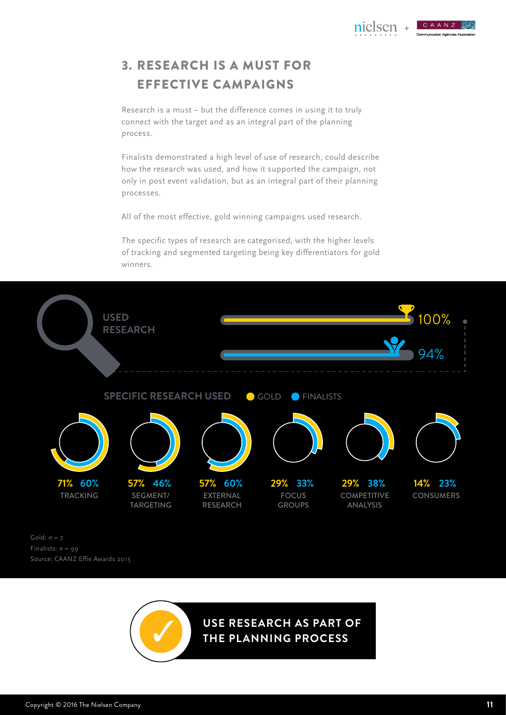

## 3. RESEARCH IS A MUST FOR EFFECTIVE CAMPAIGNS

Research is a must – but the difference comes in using it to truly connect with the target and as an integral part of the planning process.

Finalists demonstrated a high level of use of research, could describe how the research was used, and how it supported the campaign, not only in post event validation, but as an integral part of their planning processes.

All of the most effective, gold winning campaigns used research.

The specific types of research are categorised, with the higher levels of tracking and segmented targeting being key differentiators for gold winners.



Gold: *n* = 7 Finalists: *n* = 99 Source: CAANZ Effie Awards 2015

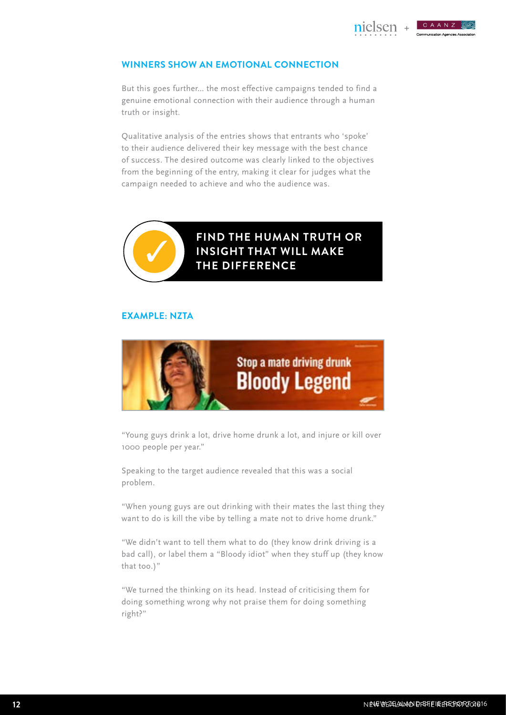**+**

CAANZ

### **WINNERS SHOW AN EMOTIONAL CONNECTION**

But this goes further… the most effective campaigns tended to find a genuine emotional connection with their audience through a human truth or insight.

Qualitative analysis of the entries shows that entrants who 'spoke' to their audience delivered their key message with the best chance of success. The desired outcome was clearly linked to the objectives from the beginning of the entry, making it clear for judges what the campaign needed to achieve and who the audience was.



**find the human truth or insight that will make the difference**

#### **EXAMPLE: NZTA**



"Young guys drink a lot, drive home drunk a lot, and injure or kill over 1000 people per year."

Speaking to the target audience revealed that this was a social problem.

"When young guys are out drinking with their mates the last thing they want to do is kill the vibe by telling a mate not to drive home drunk."

"We didn't want to tell them what to do (they know drink driving is a bad call), or label them a "Bloody idiot" when they stuff up (they know that too.)"

"We turned the thinking on its head. Instead of criticising them for doing something wrong why not praise them for doing something right?"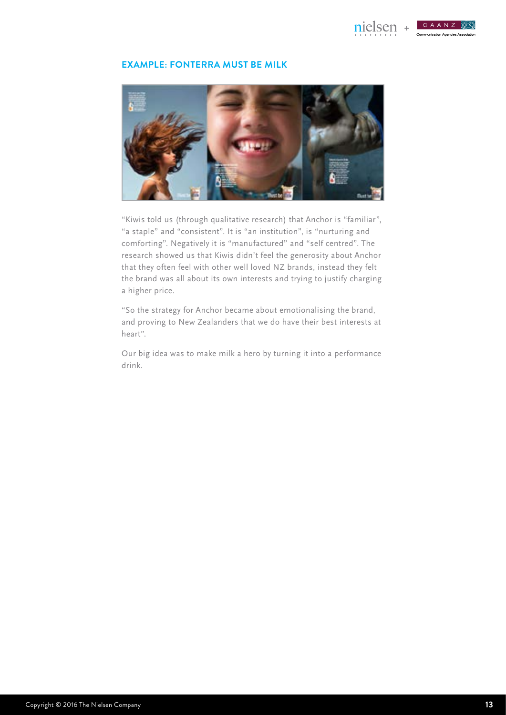

CAANZ **Communication Agencies Association** 

#### **EXAMPLE: FONTERRA MUST BE MILK**



"Kiwis told us (through qualitative research) that Anchor is "familiar", "a staple" and "consistent". It is "an institution", is "nurturing and comforting". Negatively it is "manufactured" and "self centred". The research showed us that Kiwis didn't feel the generosity about Anchor that they often feel with other well loved NZ brands, instead they felt the brand was all about its own interests and trying to justify charging a higher price.

"So the strategy for Anchor became about emotionalising the brand, and proving to New Zealanders that we do have their best interests at heart".

Our big idea was to make milk a hero by turning it into a performance drink.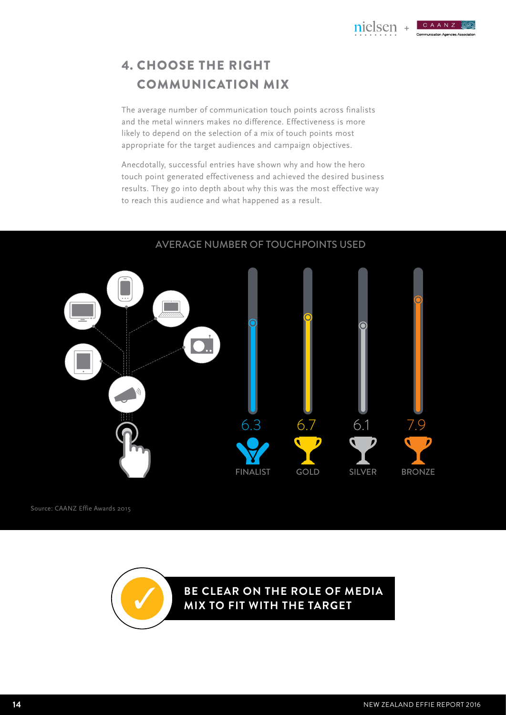## 4. CHOOSE THE RIGHT COMMUNICATION MIX

The average number of communication touch points across finalists and the metal winners makes no difference. Effectiveness is more likely to depend on the selection of a mix of touch points most appropriate for the target audiences and campaign objectives.

Anecdotally, successful entries have shown why and how the hero touch point generated effectiveness and achieved the desired business results. They go into depth about why this was the most effective way to reach this audience and what happened as a result.



AVERAGE NUMBER OF TOUCHPOINTS USED

Source: CAANZ Effie Awards 2015

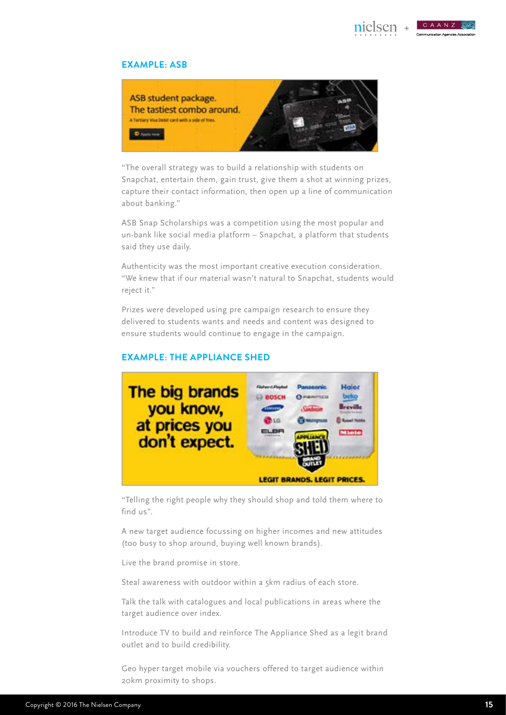

**+**

### CAANZ

#### **EXAMPLE: ASB**



"The overall strategy was to build a relationship with students on Snapchat, entertain them, gain trust, give them a shot at winning prizes, capture their contact information, then open up a line of communication about banking."

ASB Snap Scholarships was a competition using the most popular and un-bank like social media platform – Snapchat, a platform that students said they use daily.

Authenticity was the most important creative execution consideration. "We knew that if our material wasn't natural to Snapchat, students would reject it."

Prizes were developed using pre campaign research to ensure they delivered to students wants and needs and content was designed to ensure students would continue to engage in the campaign.

#### **EXAMPLE: THE APPLIANCE SHED**



"Telling the right people why they should shop and told them where to find us".

A new target audience focussing on higher incomes and new attitudes (too busy to shop around, buying well known brands).

Live the brand promise in store.

Steal awareness with outdoor within a 5km radius of each store.

Talk the talk with catalogues and local publications in areas where the target audience over index.

Introduce TV to build and reinforce The Appliance Shed as a legit brand outlet and to build credibility.

Geo hyper target mobile via vouchers offered to target audience within 20km proximity to shops.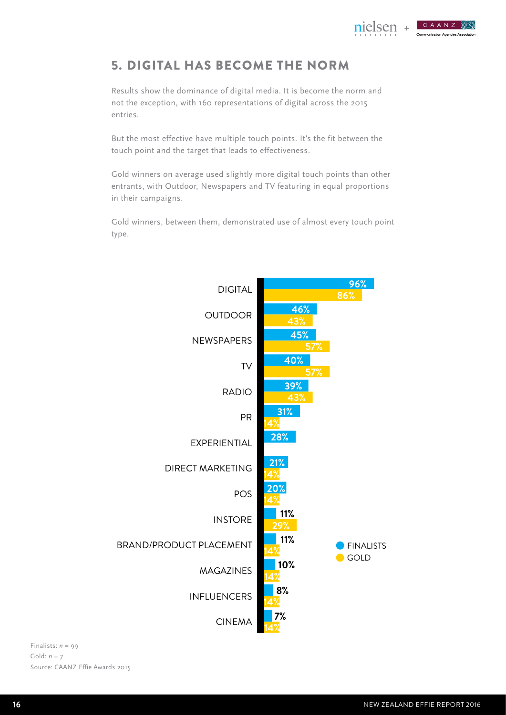## 5. DIGITAL HAS BECOME THE NORM

Results show the dominance of digital media. It is become the norm and not the exception, with 160 representations of digital across the 2015 entries.

But the most effective have multiple touch points. It's the fit between the touch point and the target that leads to effectiveness.

Gold winners on average used slightly more digital touch points than other entrants, with Outdoor, Newspapers and TV featuring in equal proportions in their campaigns.

Gold winners, between them, demonstrated use of almost every touch point type.

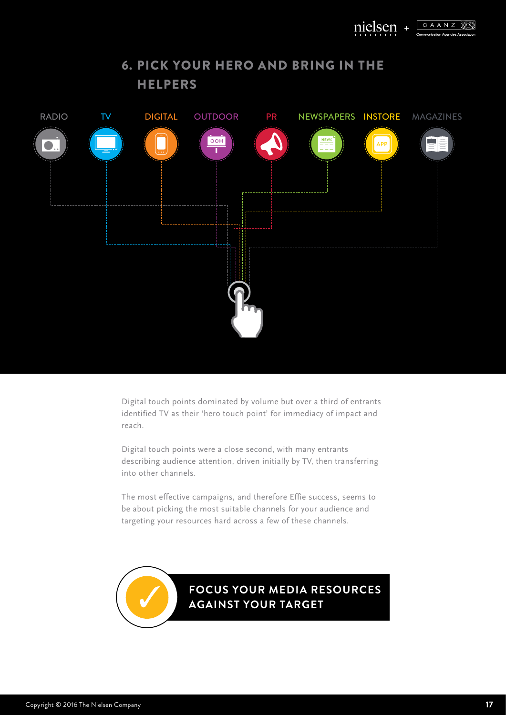

## 6. Pick your hero and bring in the **HELPERS**



Digital touch points dominated by volume but over a third of entrants identified TV as their 'hero touch point' for immediacy of impact and reach.

Digital touch points were a close second, with many entrants describing audience attention, driven initially by TV, then transferring into other channels.

The most effective campaigns, and therefore Effie success, seems to be about picking the most suitable channels for your audience and targeting your resources hard across a few of these channels.

**focus your media resources again st your target**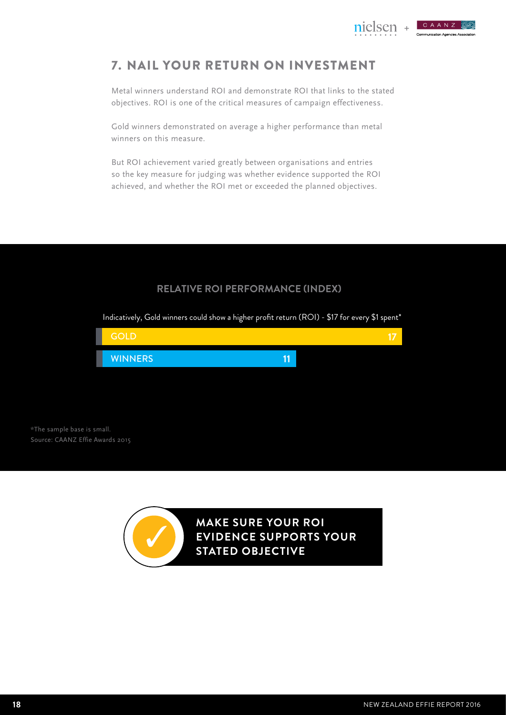## 7. NAIL YOUR Return on Investment

Metal winners understand ROI and demonstrate ROI that links to the stated objectives. ROI is one of the critical measures of campaign effectiveness.

Gold winners demonstrated on average a higher performance than metal winners on this measure.

But ROI achievement varied greatly between organisations and entries so the key measure for judging was whether evidence supported the ROI achieved, and whether the ROI met or exceeded the planned objectives.

### **RELATIVE ROI PERFORMANCE (INDEX)**

**11 17 WINNERS** GOLD \*The sample base is small. Source: CAANZ Effie Awards 2015

Indicatively, Gold winners could show a higher profit return (ROI) - \$17 for every \$1 spent\*

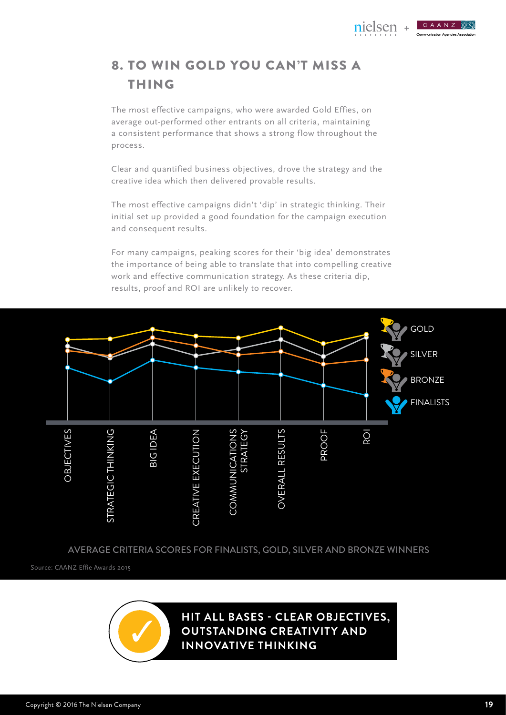

## 8. TO WIN GOLD YOU CAN'T MISS A THING

The most effective campaigns, who were awarded Gold Effies, on average out-performed other entrants on all criteria, maintaining a consistent performance that shows a strong flow throughout the process.

Clear and quantified business objectives, drove the strategy and the creative idea which then delivered provable results.

The most effective campaigns didn't 'dip' in strategic thinking. Their initial set up provided a good foundation for the campaign execution and consequent results.

For many campaigns, peaking scores for their 'big idea' demonstrates the importance of being able to translate that into compelling creative work and effective communication strategy. As these criteria dip, results, proof and ROI are unlikely to recover.



AVERAGE CRITERIA SCORES FOR FINALISTS, GOLD, SILVER AND BRONZE WINNERS

Source: CAANZ Effie Awards 2015

**hit all bases - clear objectives, outstanding creativity and innovative thinking**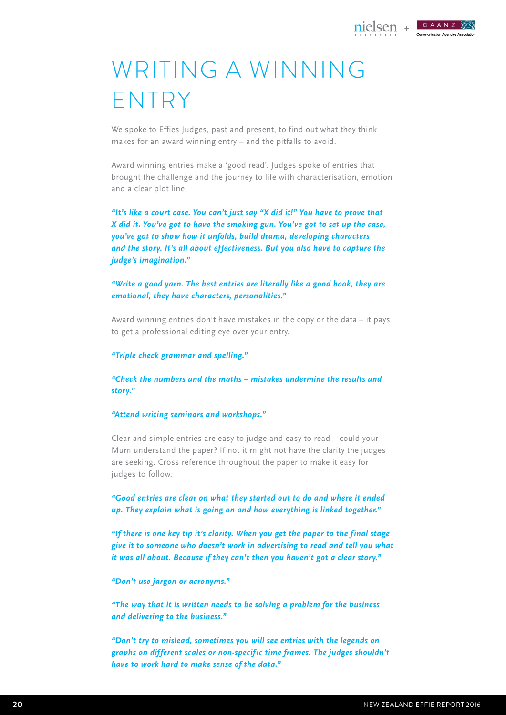## WRITING A WINNING ENTRY

We spoke to Effies Judges, past and present, to find out what they think makes for an award winning entry – and the pitfalls to avoid.

Award winning entries make a 'good read'. Judges spoke of entries that brought the challenge and the journey to life with characterisation, emotion and a clear plot line.

*"It's like a court case. You can't just say "X did it!" You have to prove that X did it. You've got to have the smoking gun. You've got to set up the case, you've got to show how it unfolds, build drama, developing characters and the story. It's all about effectiveness. But you also have to capture the judge's imagination."*

*"Write a good yarn. The best entries are literally like a good book, they are emotional, they have characters, personalities."*

Award winning entries don't have mistakes in the copy or the data – it pays to get a professional editing eye over your entry.

*"Triple check grammar and spelling."*

*"Check the numbers and the maths – mistakes undermine the results and story."*

#### *"Attend writing seminars and workshops."*

Clear and simple entries are easy to judge and easy to read – could your Mum understand the paper? If not it might not have the clarity the judges are seeking. Cross reference throughout the paper to make it easy for judges to follow.

*"Good entries are clear on what they started out to do and where it ended up. They explain what is going on and how everything is linked together."*

*"If there is one key tip it's clarity. When you get the paper to the f inal stage give it to someone who doesn't work in advertising to read and tell you what it was all about. Because if they can't then you haven't got a clear story."*

*"Don't use jargon or acronyms."*

*"The way that it is written needs to be solving a problem for the business and delivering to the business."*

*"Don't try to mislead, sometimes you will see entries with the legends on graphs on different scales or non-specif ic time frames. The judges shouldn't have to work hard to make sense of the data."*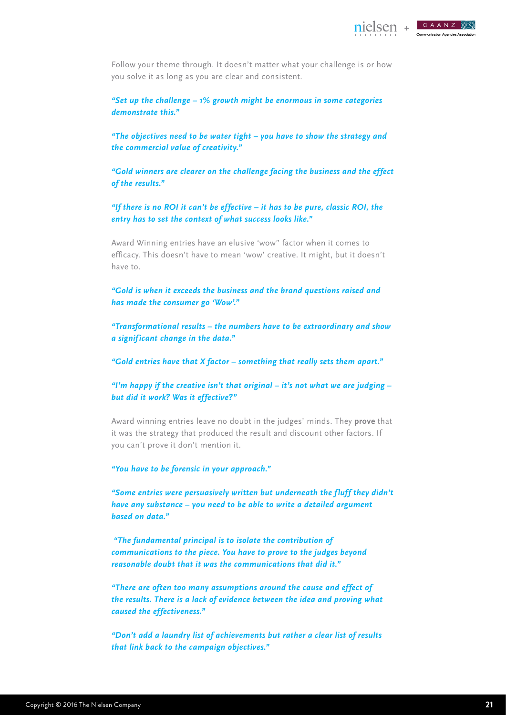![](_page_20_Picture_0.jpeg)

Follow your theme through. It doesn't matter what your challenge is or how you solve it as long as you are clear and consistent.

*"Set up the challenge – 1% growth might be enormous in some categories demonstrate this."*

*"The objectives need to be water tight – you have to show the strategy and the commercial value of creativity."*

*"Gold winners are clearer on the challenge facing the business and the effect of the results."*

*"If there is no ROI it can't be effective – it has to be pure, classic ROI, the entry has to set the context of what success looks like."*

Award Winning entries have an elusive 'wow" factor when it comes to efficacy. This doesn't have to mean 'wow' creative. It might, but it doesn't have to.

*"Gold is when it exceeds the business and the brand questions raised and has made the consumer go 'Wow'."*

*"Transformational results – the numbers have to be extraordinary and show a signif icant change in the data."*

*"Gold entries have that X factor – something that really sets them apart."*

*"I'm happy if the creative isn't that original – it's not what we are judging – but did it work? Was it effective?"*

Award winning entries leave no doubt in the judges' minds. They **prove** that it was the strategy that produced the result and discount other factors. If you can't prove it don't mention it.

*"You have to be forensic in your approach."*

*"Some entries were persuasively written but underneath the f luff they didn't have any substance – you need to be able to write a detailed argument based on data."*

 *"The fundamental principal is to isolate the contribution of communications to the piece. You have to prove to the judges beyond reasonable doubt that it was the communications that did it."*

*"There are often too many assumptions around the cause and effect of the results. There is a lack of evidence between the idea and proving what caused the effectiveness."* 

*"Don't add a laundry list of achievements but rather a clear list of results that link back to the campaign objectives."*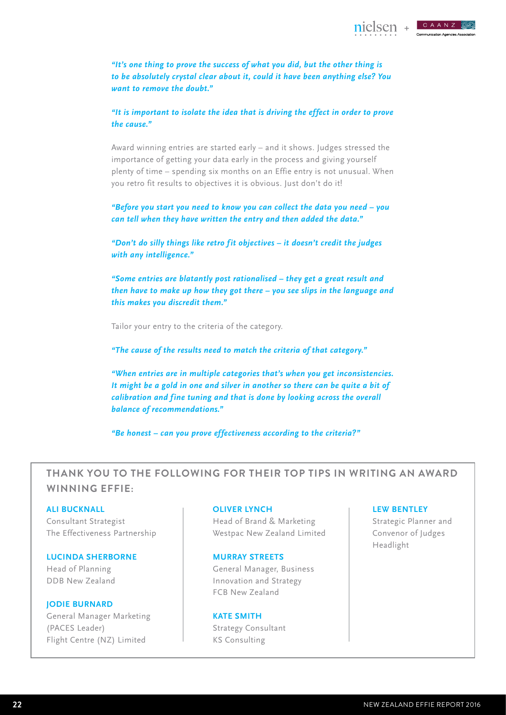![](_page_21_Picture_0.jpeg)

**+**

CAANZ

*"It's one thing to prove the success of what you did, but the other thing is to be absolutely crystal clear about it, could it have been anything else? You want to remove the doubt."*

*"It is important to isolate the idea that is driving the effect in order to prove the cause."*

Award winning entries are started early – and it shows. Judges stressed the importance of getting your data early in the process and giving yourself plenty of time – spending six months on an Effie entry is not unusual. When you retro fit results to objectives it is obvious. Just don't do it!

*"Before you start you need to know you can collect the data you need – you can tell when they have written the entry and then added the data."*

*"Don't do silly things like retro f it objectives – it doesn't credit the judges with any intelligence."*

*"Some entries are blatantly post rationalised – they get a great result and then have to make up how they got there – you see slips in the language and this makes you discredit them."*

Tailor your entry to the criteria of the category.

*"The cause of the results need to match the criteria of that category."*

*"When entries are in multiple categories that's when you get inconsistencies. It might be a gold in one and silver in another so there can be quite a bit of*  calibration and fine tuning and that is done by looking across the overall *balance of recommendations."*

*"Be honest – can you prove effectiveness according to the criteria?"*

### **Thank you to the following for their top tips in writing an Award Winning Effie:**

#### **Ali Bucknall**

Consultant Strategist The Effectiveness Partnership

#### **Lucinda Sherborne**

Head of Planning DDB New Zealand

#### **Jodie Burnard**

General Manager Marketing (PACES Leader) Flight Centre (NZ) Limited

#### **Oliver Lynch**

Head of Brand & Marketing Westpac New Zealand Limited

#### **Murray Streets**

General Manager, Business Innovation and Strategy FCB New Zealand

**KATE SMITH** Strategy Consultant KS Consulting

#### **Lew Bentley**

Strategic Planner and Convenor of Judges Headlight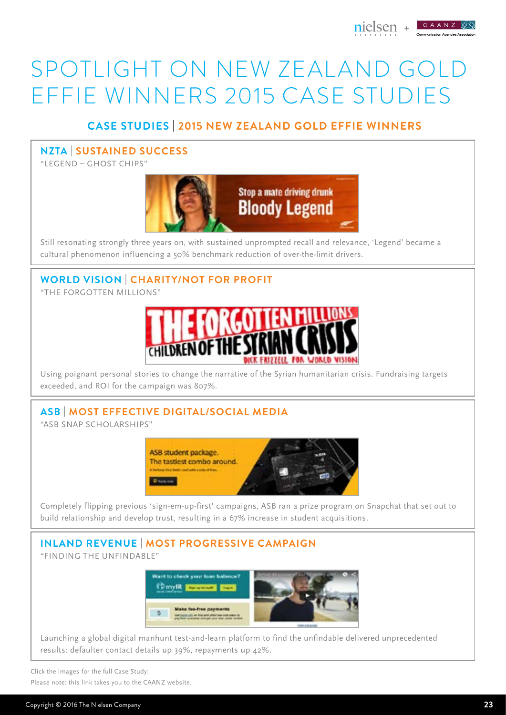![](_page_22_Picture_0.jpeg)

## SPOTLIGHT ON NEW ZEALAND GOLD EFFIE WINNERS 2015 CASE STUDIES

## **Case studies** | **2015 new Zealand Gold Effie WinnerS**

### **NZTA | Sustained success**

"Legend – Ghost Chips"

![](_page_22_Picture_5.jpeg)

Still resonating strongly three years on, with sustained unprompted recall and relevance, 'Legend' became a cultural phenomenon influencing a 50% benchmark reduction of over-the-limit drivers.

**World Vision | charity/not for profit**

"The Forgotten Millions"

![](_page_22_Picture_9.jpeg)

Using poignant personal stories to change the narrative of the Syrian humanitarian crisis. Fundraising targets exceeded, and ROI for the campaign was 807%.

## **ASB | most effective digital/social media**

"ASB Snap Scholarships"

![](_page_22_Picture_13.jpeg)

Completely flipping previous 'sign-em-up-first' campaigns, ASB ran a prize program on Snapchat that set out to build relationship and develop trust, resulting in a 67% increase in student acquisitions.

#### **Inland Revenue | Most progressive campaign** "Finding The Unfindable"

![](_page_22_Picture_16.jpeg)

Launching a global digital manhunt test-and-learn platform to find the unfindable delivered unprecedented results: defaulter contact details up 39%, repayments up 42%.

Click the images for the full Case Study: Please note: this link takes you to the CAANZ website.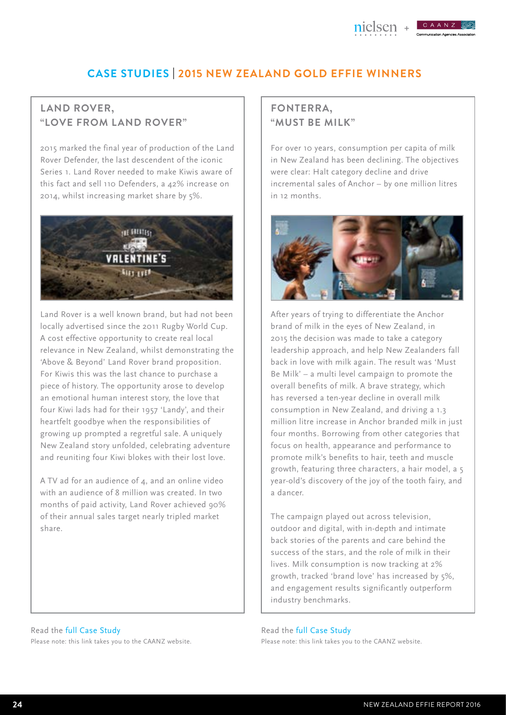## **Case studies** | **2015 new Zealand Gold Effie WinnerS**

## **Land Rover, "Love from Land Rover"**

2015 marked the final year of production of the Land Rover Defender, the last descendent of the iconic Series 1. Land Rover needed to make Kiwis aware of this fact and sell 110 Defenders, a 42% increase on 2014, whilst increasing market share by 5%.

![](_page_23_Picture_4.jpeg)

Land Rover is a well known brand, but had not been locally advertised since the 2011 Rugby World Cup. A cost effective opportunity to create real local relevance in New Zealand, whilst demonstrating the 'Above & Beyond' Land Rover brand proposition. For Kiwis this was the last chance to purchase a piece of history. The opportunity arose to develop an emotional human interest story, the love that four Kiwi lads had for their 1957 'Landy', and their heartfelt goodbye when the responsibilities of growing up prompted a regretful sale. A uniquely New Zealand story unfolded, celebrating adventure and reuniting four Kiwi blokes with their lost love.

A TV ad for an audience of 4, and an online video with an audience of 8 million was created. In two months of paid activity, Land Rover achieved 90% of their annual sales target nearly tripled market share.

#### Read the full Case Study Please note: this link takes you to the CAANZ website.

## **Fonterra, "Must Be Milk"**

For over 10 years, consumption per capita of milk in New Zealand has been declining. The objectives were clear: Halt category decline and drive incremental sales of Anchor – by one million litres in 12 months.

![](_page_23_Picture_10.jpeg)

After years of trying to differentiate the Anchor brand of milk in the eyes of New Zealand, in 2015 the decision was made to take a category leadership approach, and help New Zealanders fall back in love with milk again. The result was 'Must Be Milk' – a multi level campaign to promote the overall benefits of milk. A brave strategy, which has reversed a ten-year decline in overall milk consumption in New Zealand, and driving a 1.3 million litre increase in Anchor branded milk in just four months. Borrowing from other categories that focus on health, appearance and performance to promote milk's benefits to hair, teeth and muscle growth, featuring three characters, a hair model, a 5 year-old's discovery of the joy of the tooth fairy, and a dancer.

The campaign played out across television, outdoor and digital, with in-depth and intimate back stories of the parents and care behind the success of the stars, and the role of milk in their lives. Milk consumption is now tracking at 2% growth, tracked 'brand love' has increased by 5%, and engagement results significantly outperform industry benchmarks.

Read the full Case Study Please note: this link takes you to the CAANZ website.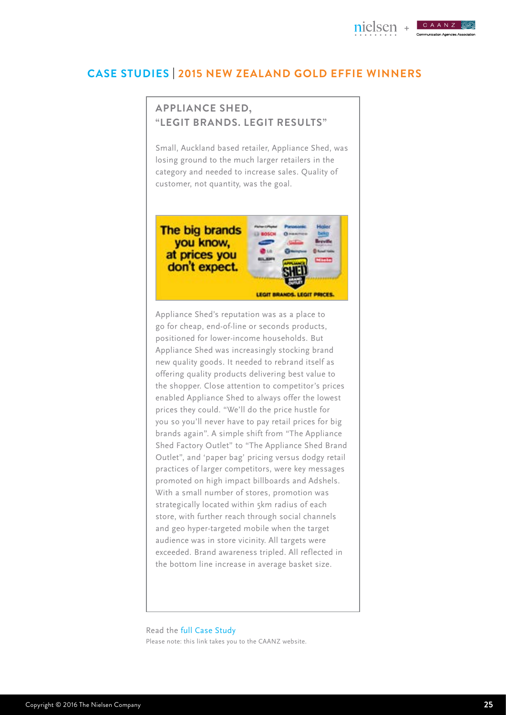#### CAANZ nielsen **+**

### **Case studies** | **2015 new Zealand Gold Effie WinnerS**

## **Appliance Shed, "Legit Brands. Legit Results"**

Small, Auckland based retailer, Appliance Shed, was losing ground to the much larger retailers in the category and needed to increase sales. Quality of customer, not quantity, was the goal.

![](_page_24_Picture_4.jpeg)

Appliance Shed's reputation was as a place to go for cheap, end-of-line or seconds products, positioned for lower-income households. But Appliance Shed was increasingly stocking brand new quality goods. It needed to rebrand itself as offering quality products delivering best value to the shopper. Close attention to competitor's prices enabled Appliance Shed to always offer the lowest prices they could. "We'll do the price hustle for you so you'll never have to pay retail prices for big brands again". A simple shift from "The Appliance Shed Factory Outlet" to "The Appliance Shed Brand Outlet", and 'paper bag' pricing versus dodgy retail practices of larger competitors, were key messages promoted on high impact billboards and Adshels. With a small number of stores, promotion was strategically located within 5km radius of each store, with further reach through social channels and geo hyper-targeted mobile when the target audience was in store vicinity. All targets were exceeded. Brand awareness tripled. All reflected in the bottom line increase in average basket size.

Read the full Case Study Please note: this link takes you to the CAANZ website.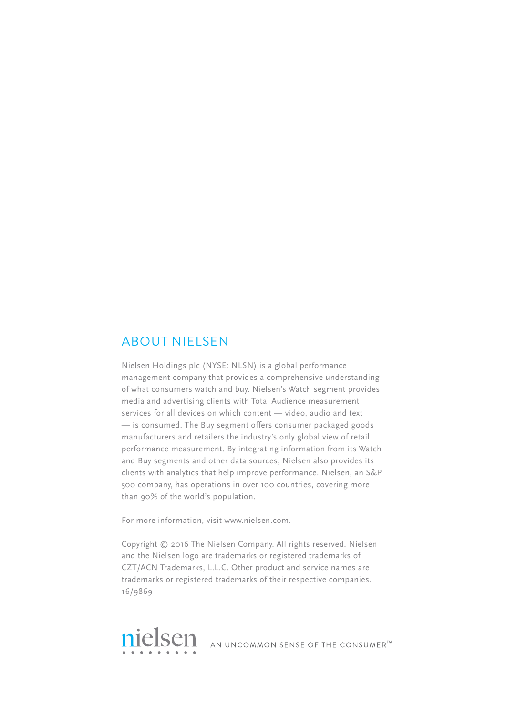## About Nielsen

Nielsen Holdings plc (NYSE: NLSN) is a global performance management company that provides a comprehensive understanding of what consumers watch and buy. Nielsen's Watch segment provides media and advertising clients with Total Audience measurement services for all devices on which content — video, audio and text — is consumed. The Buy segment offers consumer packaged goods manufacturers and retailers the industry's only global view of retail performance measurement. By integrating information from its Watch and Buy segments and other data sources, Nielsen also provides its clients with analytics that help improve performance. Nielsen, an S&P 500 company, has operations in over 100 countries, covering more than 90% of the world's population.

For more information, visit www.nielsen.com.

Copyright © 2016 The Nielsen Company. All rights reserved. Nielsen and the Nielsen logo are trademarks or registered trademarks of CZT/ACN Trademarks, L.L.C. Other product and service names are trademarks or registered trademarks of their respective companies. 16/9869

![](_page_25_Picture_4.jpeg)